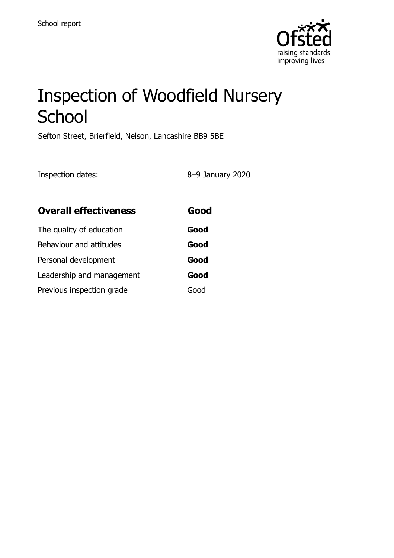

# Inspection of Woodfield Nursery **School**

Sefton Street, Brierfield, Nelson, Lancashire BB9 5BE

Inspection dates: 8–9 January 2020

| <b>Overall effectiveness</b> | Good |
|------------------------------|------|
| The quality of education     | Good |
| Behaviour and attitudes      | Good |
| Personal development         | Good |
| Leadership and management    | Good |
| Previous inspection grade    | Good |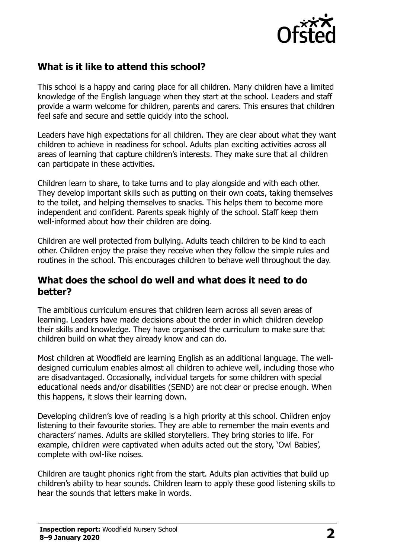

# **What is it like to attend this school?**

This school is a happy and caring place for all children. Many children have a limited knowledge of the English language when they start at the school. Leaders and staff provide a warm welcome for children, parents and carers. This ensures that children feel safe and secure and settle quickly into the school.

Leaders have high expectations for all children. They are clear about what they want children to achieve in readiness for school. Adults plan exciting activities across all areas of learning that capture children's interests. They make sure that all children can participate in these activities.

Children learn to share, to take turns and to play alongside and with each other. They develop important skills such as putting on their own coats, taking themselves to the toilet, and helping themselves to snacks. This helps them to become more independent and confident. Parents speak highly of the school. Staff keep them well-informed about how their children are doing.

Children are well protected from bullying. Adults teach children to be kind to each other. Children enjoy the praise they receive when they follow the simple rules and routines in the school. This encourages children to behave well throughout the day.

#### **What does the school do well and what does it need to do better?**

The ambitious curriculum ensures that children learn across all seven areas of learning. Leaders have made decisions about the order in which children develop their skills and knowledge. They have organised the curriculum to make sure that children build on what they already know and can do.

Most children at Woodfield are learning English as an additional language. The welldesigned curriculum enables almost all children to achieve well, including those who are disadvantaged. Occasionally, individual targets for some children with special educational needs and/or disabilities (SEND) are not clear or precise enough. When this happens, it slows their learning down.

Developing children's love of reading is a high priority at this school. Children enjoy listening to their favourite stories. They are able to remember the main events and characters' names. Adults are skilled storytellers. They bring stories to life. For example, children were captivated when adults acted out the story, 'Owl Babies', complete with owl-like noises.

Children are taught phonics right from the start. Adults plan activities that build up children's ability to hear sounds. Children learn to apply these good listening skills to hear the sounds that letters make in words.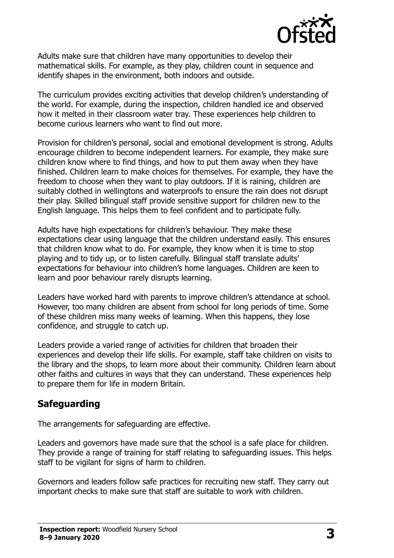

Adults make sure that children have many opportunities to develop their mathematical skills. For example, as they play, children count in sequence and identify shapes in the environment, both indoors and outside.

The curriculum provides exciting activities that develop children's understanding of the world. For example, during the inspection, children handled ice and observed how it melted in their classroom water tray. These experiences help children to become curious learners who want to find out more.

Provision for children's personal, social and emotional development is strong. Adults encourage children to become independent learners. For example, they make sure children know where to find things, and how to put them away when they have finished. Children learn to make choices for themselves. For example, they have the freedom to choose when they want to play outdoors. If it is raining, children are suitably clothed in wellingtons and waterproofs to ensure the rain does not disrupt their play. Skilled bilingual staff provide sensitive support for children new to the English language. This helps them to feel confident and to participate fully.

Adults have high expectations for children's behaviour. They make these expectations clear using language that the children understand easily. This ensures that children know what to do. For example, they know when it is time to stop playing and to tidy up, or to listen carefully. Bilingual staff translate adults' expectations for behaviour into children's home languages. Children are keen to learn and poor behaviour rarely disrupts learning.

Leaders have worked hard with parents to improve children's attendance at school. However, too many children are absent from school for long periods of time. Some of these children miss many weeks of learning. When this happens, they lose confidence, and struggle to catch up.

Leaders provide a varied range of activities for children that broaden their experiences and develop their life skills. For example, staff take children on visits to the library and the shops, to learn more about their community. Children learn about other faiths and cultures in ways that they can understand. These experiences help to prepare them for life in modern Britain.

### **Safeguarding**

The arrangements for safeguarding are effective.

Leaders and governors have made sure that the school is a safe place for children. They provide a range of training for staff relating to safeguarding issues. This helps staff to be vigilant for signs of harm to children.

Governors and leaders follow safe practices for recruiting new staff. They carry out important checks to make sure that staff are suitable to work with children.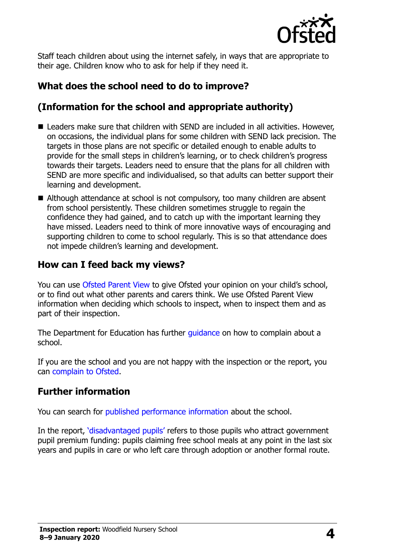

Staff teach children about using the internet safely, in ways that are appropriate to their age. Children know who to ask for help if they need it.

# **What does the school need to do to improve?**

# **(Information for the school and appropriate authority)**

- Leaders make sure that children with SEND are included in all activities. However, on occasions, the individual plans for some children with SEND lack precision. The targets in those plans are not specific or detailed enough to enable adults to provide for the small steps in children's learning, or to check children's progress towards their targets. Leaders need to ensure that the plans for all children with SEND are more specific and individualised, so that adults can better support their learning and development.
- Although attendance at school is not compulsory, too many children are absent from school persistently. These children sometimes struggle to regain the confidence they had gained, and to catch up with the important learning they have missed. Leaders need to think of more innovative ways of encouraging and supporting children to come to school regularly. This is so that attendance does not impede children's learning and development.

# **How can I feed back my views?**

You can use [Ofsted Parent View](http://parentview.ofsted.gov.uk/) to give Ofsted your opinion on your child's school, or to find out what other parents and carers think. We use Ofsted Parent View information when deciding which schools to inspect, when to inspect them and as part of their inspection.

The Department for Education has further quidance on how to complain about a school.

If you are the school and you are not happy with the inspection or the report, you can [complain to Ofsted.](http://www.gov.uk/complain-ofsted-report)

# **Further information**

You can search for [published performance information](http://www.compare-school-performance.service.gov.uk/) about the school.

In the report, '[disadvantaged pupils](http://www.gov.uk/guidance/pupil-premium-information-for-schools-and-alternative-provision-settings)' refers to those pupils who attract government pupil premium funding: pupils claiming free school meals at any point in the last six years and pupils in care or who left care through adoption or another formal route.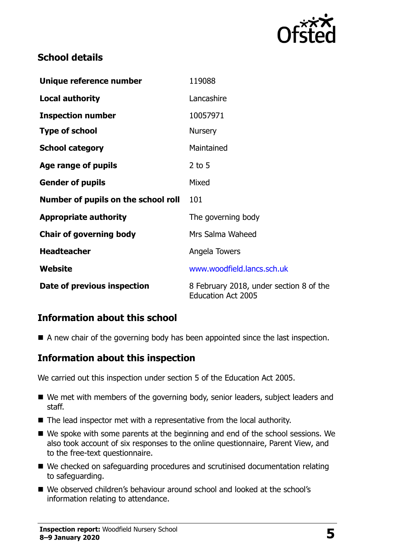

# **School details**

| Unique reference number             | 119088                                                               |
|-------------------------------------|----------------------------------------------------------------------|
| <b>Local authority</b>              | Lancashire                                                           |
| <b>Inspection number</b>            | 10057971                                                             |
| <b>Type of school</b>               | <b>Nursery</b>                                                       |
| <b>School category</b>              | Maintained                                                           |
| Age range of pupils                 | $2$ to 5                                                             |
| <b>Gender of pupils</b>             | Mixed                                                                |
| Number of pupils on the school roll | 101                                                                  |
| <b>Appropriate authority</b>        | The governing body                                                   |
| <b>Chair of governing body</b>      | Mrs Salma Waheed                                                     |
| <b>Headteacher</b>                  | Angela Towers                                                        |
| Website                             | www.woodfield.lancs.sch.uk                                           |
| Date of previous inspection         | 8 February 2018, under section 8 of the<br><b>Education Act 2005</b> |

# **Information about this school**

A new chair of the governing body has been appointed since the last inspection.

### **Information about this inspection**

We carried out this inspection under section 5 of the Education Act 2005.

- We met with members of the governing body, senior leaders, subject leaders and staff.
- The lead inspector met with a representative from the local authority.
- We spoke with some parents at the beginning and end of the school sessions. We also took account of six responses to the online questionnaire, Parent View, and to the free-text questionnaire.
- We checked on safeguarding procedures and scrutinised documentation relating to safeguarding.
- We observed children's behaviour around school and looked at the school's information relating to attendance.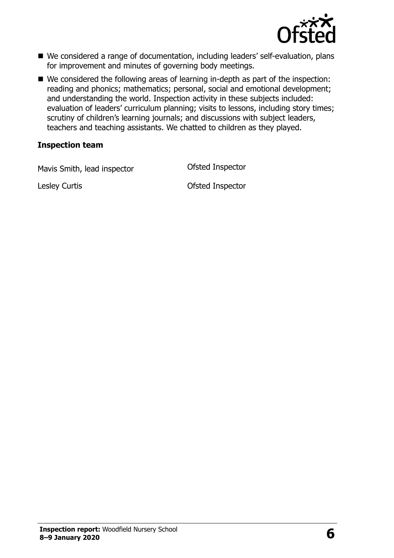

- We considered a range of documentation, including leaders' self-evaluation, plans for improvement and minutes of governing body meetings.
- We considered the following areas of learning in-depth as part of the inspection: reading and phonics; mathematics; personal, social and emotional development; and understanding the world. Inspection activity in these subjects included: evaluation of leaders' curriculum planning; visits to lessons, including story times; scrutiny of children's learning journals; and discussions with subject leaders, teachers and teaching assistants. We chatted to children as they played.

#### **Inspection team**

Mavis Smith, lead inspector **Conservation Conservation** Ofsted Inspector

Lesley Curtis Ofsted Inspector